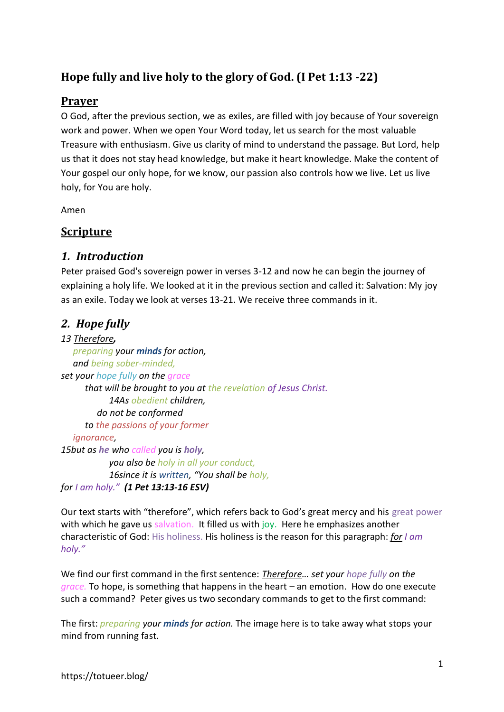# **Hope fully and live holy to the glory of God. (I Pet 1:13 -22)**

#### **Prayer**

O God, after the previous section, we as exiles, are filled with joy because of Your sovereign work and power. When we open Your Word today, let us search for the most valuable Treasure with enthusiasm. Give us clarity of mind to understand the passage. But Lord, help us that it does not stay head knowledge, but make it heart knowledge. Make the content of Your gospel our only hope, for we know, our passion also controls how we live. Let us live holy, for You are holy.

Amen

#### **Scripture**

#### *1. Introduction*

Peter praised God's sovereign power in verses 3-12 and now he can begin the journey of explaining a holy life. We looked at it in the previous section and called it: Salvation: My joy as an exile. Today we look at verses 13-21. We receive three commands in it.

## *2. Hope fully*

#### *13 Therefore,*

*preparing your minds for action, and being sober-minded, set your hope fully on the grace that will be brought to you at the revelation of Jesus Christ. 14As obedient children, do not be conformed to the passions of your former ignorance, 15but as he who called you is holy, you also be holy in all your conduct, 16since it is written, "You shall be holy, for I am holy." (1 Pet 13:13-16 ESV)*

Our text starts with "therefore", which refers back to God's great mercy and his great power with which he gave us salvation. It filled us with joy. Here he emphasizes another characteristic of God: His holiness. His holiness is the reason for this paragraph: *for I am holy."*

We find our first command in the first sentence: *Therefore… set your hope fully on the grace.* To hope, is something that happens in the heart – an emotion. How do one execute such a command? Peter gives us two secondary commands to get to the first command:

The first: *preparing your minds for action.* The image here is to take away what stops your mind from running fast.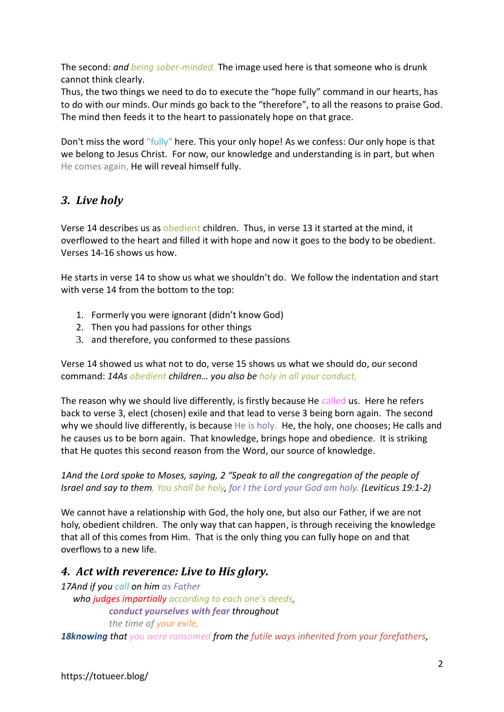The second: *and being sober-minded.* The image used here is that someone who is drunk cannot think clearly.

Thus, the two things we need to do to execute the "hope fully" command in our hearts, has to do with our minds. Our minds go back to the "therefore", to all the reasons to praise God. The mind then feeds it to the heart to passionately hope on that grace.

Don't miss the word "fully" here. This your only hope! As we confess: Our only hope is that we belong to Jesus Christ. For now, our knowledge and understanding is in part, but when He comes again, He will reveal himself fully.

# *3. Live holy*

Verse 14 describes us as obedient children. Thus, in verse 13 it started at the mind, it overflowed to the heart and filled it with hope and now it goes to the body to be obedient. Verses 14-16 shows us how.

He starts in verse 14 to show us what we shouldn't do. We follow the indentation and start with verse 14 from the bottom to the top:

- 1. Formerly you were ignorant (didn't know God)
- 2. Then you had passions for other things
- 3. and therefore, you conformed to these passions

Verse 14 showed us what not to do, verse 15 shows us what we should do, our second command: *14As obedient children… you also be holy in all your conduct,*

The reason why we should live differently, is firstly because He called us. Here he refers back to verse 3, elect (chosen) exile and that lead to verse 3 being born again. The second why we should live differently, is because He is holy. He, the holy, one chooses; He calls and he causes us to be born again. That knowledge, brings hope and obedience. It is striking that He quotes this second reason from the Word, our source of knowledge.

*1And the Lord spoke to Moses, saying, 2 "Speak to all the congregation of the people of Israel and say to them, You shall be holy, for I the Lord your God am holy. (Leviticus 19:1-2)*

We cannot have a relationship with God, the holy one, but also our Father, if we are not holy, obedient children. The only way that can happen, is through receiving the knowledge that all of this comes from Him. That is the only thing you can fully hope on and that overflows to a new life.

## *4. Act with reverence: Live to His glory.*

*17And if you call on him as Father who judges impartially according to each one's deeds, conduct yourselves with fear throughout the time of your exile,* 

*18knowing that you were ransomed from the futile ways inherited from your forefathers,*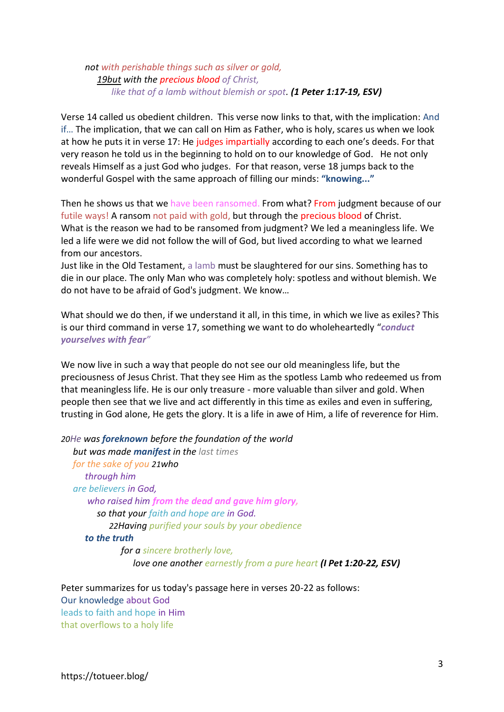#### *not with perishable things such as silver or gold, 19but with the precious blood of Christ, like that of a lamb without blemish or spot. (1 Peter 1:17-19, ESV)*

Verse 14 called us obedient children. This verse now links to that, with the implication: And if… The implication, that we can call on Him as Father, who is holy, scares us when we look at how he puts it in verse 17: He judges impartially according to each one's deeds. For that very reason he told us in the beginning to hold on to our knowledge of God. He not only reveals Himself as a just God who judges. For that reason, verse 18 jumps back to the wonderful Gospel with the same approach of filling our minds: **"knowing..."**

Then he shows us that we have been ransomed. From what? From judgment because of our futile ways! A ransom not paid with gold, but through the precious blood of Christ. What is the reason we had to be ransomed from judgment? We led a meaningless life. We led a life were we did not follow the will of God, but lived according to what we learned from our ancestors.

Just like in the Old Testament, a lamb must be slaughtered for our sins. Something has to die in our place. The only Man who was completely holy: spotless and without blemish. We do not have to be afraid of God's judgment. We know…

What should we do then, if we understand it all, in this time, in which we live as exiles? This is our third command in verse 17, something we want to do wholeheartedly "*conduct yourselves with fear"*

We now live in such a way that people do not see our old meaningless life, but the preciousness of Jesus Christ. That they see Him as the spotless Lamb who redeemed us from that meaningless life. He is our only treasure - more valuable than silver and gold. When people then see that we live and act differently in this time as exiles and even in suffering, trusting in God alone, He gets the glory. It is a life in awe of Him, a life of reverence for Him.

*20He was foreknown before the foundation of the world but was made manifest in the last times for the sake of you 21who through him are believers in God, who raised him from the dead and gave him glory, so that your faith and hope are in God. 22Having purified your souls by your obedience to the truth for a sincere brotherly love, love one another earnestly from a pure heart (I Pet 1:20-22, ESV)*

Peter summarizes for us today's passage here in verses 20-22 as follows: Our knowledge about God leads to faith and hope in Him that overflows to a holy life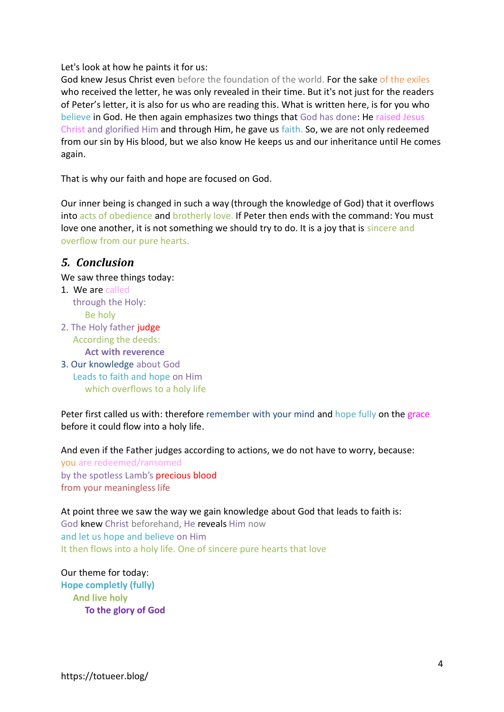Let's look at how he paints it for us:

God knew Jesus Christ even before the foundation of the world. For the sake of the exiles who received the letter, he was only revealed in their time. But it's not just for the readers of Peter's letter, it is also for us who are reading this. What is written here, is for you who believe in God. He then again emphasizes two things that God has done: He raised Jesus Christ and glorified Him and through Him, he gave us faith. So, we are not only redeemed from our sin by His blood, but we also know He keeps us and our inheritance until He comes again.

That is why our faith and hope are focused on God.

Our inner being is changed in such a way (through the knowledge of God) that it overflows into acts of obedience and brotherly love. If Peter then ends with the command: You must love one another, it is not something we should try to do. It is a joy that is sincere and overflow from our pure hearts.

#### *5. Conclusion*

We saw three things today:

- 1. We are called through the Holy: Be holy
- 2. The Holy father judge According the deeds: **Act with reverence**
- 3. Our knowledge about God Leads to faith and hope on Him which overflows to a holy life

Peter first called us with: therefore remember with your mind and hope fully on the grace before it could flow into a holy life.

And even if the Father judges according to actions, we do not have to worry, because:

you are redeemed/ransomed by the spotless Lamb's precious blood from your meaningless life

At point three we saw the way we gain knowledge about God that leads to faith is: God knew Christ beforehand, He reveals Him now and let us hope and believe on Him It then flows into a holy life. One of sincere pure hearts that love

Our theme for today: **Hope completly (fully) And live holy To the glory of God**